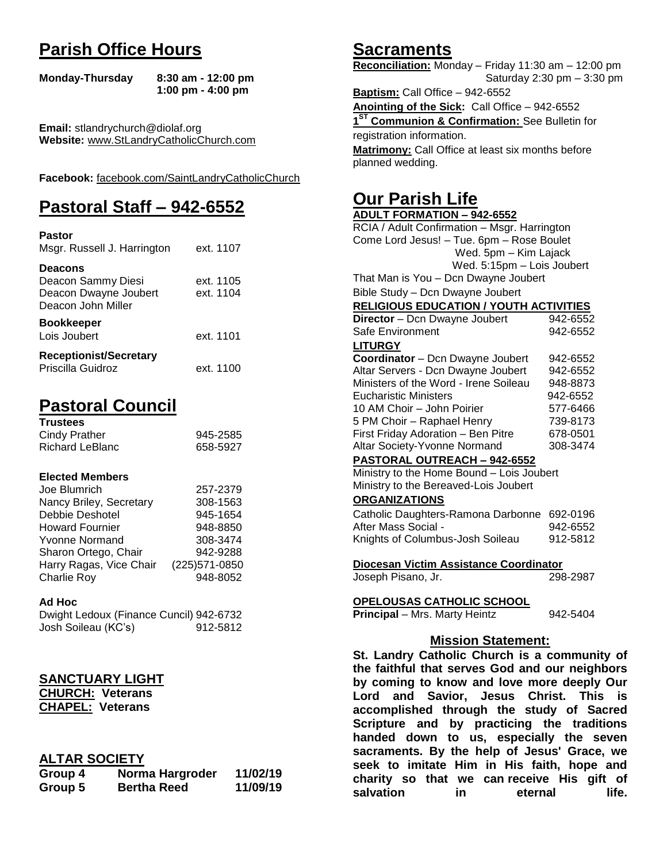# **Parish Office Hours**

```
Monday-Thursday 8:30 am - 12:00 pm
       1:00 pm - 4:00 pm
```
**Email:** stlandrychurch@diolaf.org **Website:** [www.StLandryCatholicChurch.com](http://www.stlandrycatholicchurch.com/)

**Facebook:** [facebook.com/SaintLandryCatholicChurch](http://facebook.com/SaintLandryCatholicChurch)

# **Pastoral Staff – 942-6552**

| <b>Pastor</b><br>Msgr. Russell J. Harrington                                        | ext. 1107              |
|-------------------------------------------------------------------------------------|------------------------|
| <b>Deacons</b><br>Deacon Sammy Diesi<br>Deacon Dwayne Joubert<br>Deacon John Miller | ext. 1105<br>ext. 1104 |
| <b>Bookkeeper</b><br>Lois Joubert                                                   | ext. 1101              |
| <b>Receptionist/Secretary</b><br>Priscilla Guidroz                                  | ext. 1100              |

# **Pastoral Council**

| <b>Trustees</b> |          |
|-----------------|----------|
| Cindy Prather   | 945-2585 |
| Richard LeBlanc | 658-5927 |

#### **Elected Members**

| 257-2379       |
|----------------|
| 308-1563       |
| 945-1654       |
| 948-8850       |
| 308-3474       |
| 942-9288       |
| (225) 571-0850 |
| 948-8052       |
|                |

#### **Ad Hoc**

| Dwight Ledoux (Finance Cuncil) 942-6732 |          |
|-----------------------------------------|----------|
| Josh Soileau (KC's)                     | 912-5812 |

### **SANCTUARY LIGHT**

**CHURCH: Veterans CHAPEL: Veterans**

### **ALTAR SOCIETY**

| Group 4 | Norma Hargroder    | 11/02/19 |
|---------|--------------------|----------|
| Group 5 | <b>Bertha Reed</b> | 11/09/19 |

# **Sacraments**

**Reconciliation:** Monday – Friday 11:30 am – 12:00 pm Saturday 2:30 pm – 3:30 pm

**Baptism:** Call Office – 942-6552 **Anointing of the Sick:** Call Office – 942-6552 **1 ST Communion & Confirmation:** See Bulletin for registration information. **Matrimony:** Call Office at least six months before planned wedding.

# **Our Parish Life**

| <b>ADULT FORMATION - 942-6552</b>              |                   |
|------------------------------------------------|-------------------|
| RCIA / Adult Confirmation - Msgr. Harrington   |                   |
| Come Lord Jesus! - Tue. 6pm - Rose Boulet      |                   |
| Wed. 5pm - Kim Lajack                          |                   |
| Wed. 5:15pm - Lois Joubert                     |                   |
| That Man is You - Dcn Dwayne Joubert           |                   |
| Bible Study - Dcn Dwayne Joubert               |                   |
| <b>RELIGIOUS EDUCATION / YOUTH ACTIVITIES</b>  |                   |
| Director - Dcn Dwayne Joubert                  | 942-6552          |
| Safe Environment                               | 942-6552          |
| <b>LITURGY</b>                                 |                   |
| Coordinator - Dcn Dwayne Joubert               | 942-6552          |
| Altar Servers - Dcn Dwayne Joubert             | 942-6552          |
| Ministers of the Word - Irene Soileau          | 948-8873          |
| <b>Eucharistic Ministers</b>                   | 942-6552          |
| 10 AM Choir - John Poirier                     | 577-6466          |
| 5 PM Choir - Raphael Henry                     | 739-8173          |
| First Friday Adoration - Ben Pitre             | 678-0501          |
| Altar Society-Yvonne Normand                   | 308-3474          |
| <b>PASTORAL OUTREACH - 942-6552</b>            |                   |
| Ministry to the Home Bound - Lois Joubert      |                   |
| Ministry to the Bereaved-Lois Joubert          |                   |
| <b>ORGANIZATIONS</b>                           |                   |
| Catholic Daughters-Ramona Darbonne 692-0196    |                   |
| After Mass Social -                            | 942-6552          |
| Knights of Columbus-Josh Soileau               | 912-5812          |
|                                                |                   |
| Diocesan Victim Assistance Coordinator         |                   |
| Joseph Pisano, Jr.                             | 298-2987          |
|                                                |                   |
| <u>OPELOUSAS CATHOLIC SCHOOL</u>               |                   |
| Principal - Mrs. Marty Heintz                  | 942-5404          |
|                                                |                   |
| <b>Mission Statement:</b>                      |                   |
| St. Landry Catholic Church is a community of   |                   |
| the faithful that serves God and our neighbors |                   |
| by coming to know and love more deeply Our     |                   |
| Lord and<br>Savior, Jesus Christ.              | <b>This</b><br>is |
| accomplished through the study of Sacred       |                   |
| Scripture and by practicing the traditions     |                   |
| handed down to us, especially the seven        |                   |
| sacraments. By the help of Jesus' Grace, we    |                   |

**seek to imitate Him in His faith, hope and charity so that we can receive His gift of salvation** in eternal life.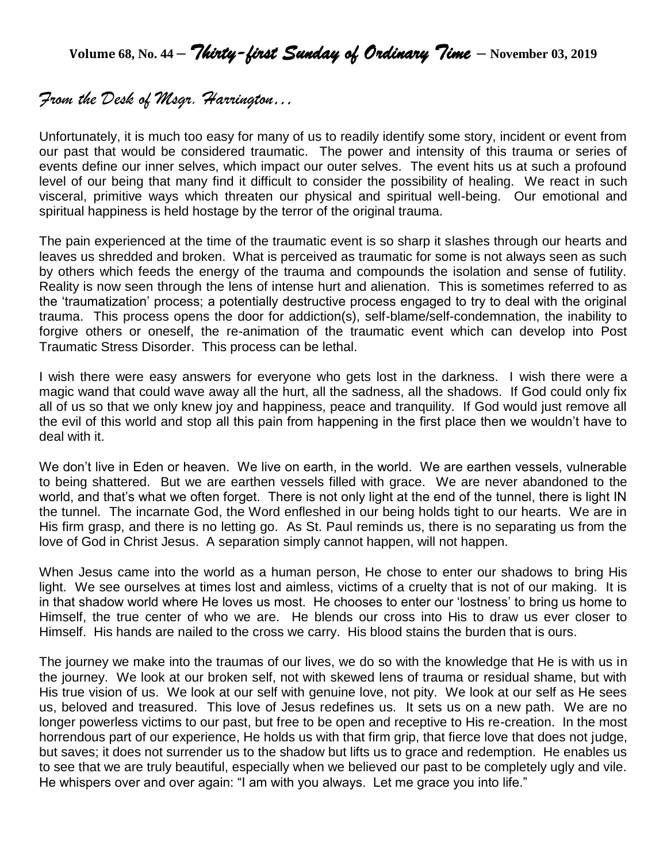**Volume 68, No. 44 –** *Thirty-first Sunday of Ordinary Time* **– November 03, <sup>2019</sup>**

# *From the Desk of Msgr. Harrington…*

Unfortunately, it is much too easy for many of us to readily identify some story, incident or event from our past that would be considered traumatic. The power and intensity of this trauma or series of events define our inner selves, which impact our outer selves. The event hits us at such a profound level of our being that many find it difficult to consider the possibility of healing. We react in such visceral, primitive ways which threaten our physical and spiritual well-being. Our emotional and spiritual happiness is held hostage by the terror of the original trauma.

The pain experienced at the time of the traumatic event is so sharp it slashes through our hearts and leaves us shredded and broken. What is perceived as traumatic for some is not always seen as such by others which feeds the energy of the trauma and compounds the isolation and sense of futility. Reality is now seen through the lens of intense hurt and alienation. This is sometimes referred to as the 'traumatization' process; a potentially destructive process engaged to try to deal with the original trauma. This process opens the door for addiction(s), self-blame/self-condemnation, the inability to forgive others or oneself, the re-animation of the traumatic event which can develop into Post Traumatic Stress Disorder. This process can be lethal.

I wish there were easy answers for everyone who gets lost in the darkness. I wish there were a magic wand that could wave away all the hurt, all the sadness, all the shadows. If God could only fix all of us so that we only knew joy and happiness, peace and tranquility. If God would just remove all the evil of this world and stop all this pain from happening in the first place then we wouldn't have to deal with it.

We don't live in Eden or heaven. We live on earth, in the world. We are earthen vessels, vulnerable to being shattered. But we are earthen vessels filled with grace. We are never abandoned to the world, and that's what we often forget. There is not only light at the end of the tunnel, there is light IN the tunnel. The incarnate God, the Word enfleshed in our being holds tight to our hearts. We are in His firm grasp, and there is no letting go. As St. Paul reminds us, there is no separating us from the love of God in Christ Jesus. A separation simply cannot happen, will not happen.

When Jesus came into the world as a human person, He chose to enter our shadows to bring His light. We see ourselves at times lost and aimless, victims of a cruelty that is not of our making. It is in that shadow world where He loves us most. He chooses to enter our 'lostness' to bring us home to Himself, the true center of who we are. He blends our cross into His to draw us ever closer to Himself. His hands are nailed to the cross we carry. His blood stains the burden that is ours.

The journey we make into the traumas of our lives, we do so with the knowledge that He is with us in the journey. We look at our broken self, not with skewed lens of trauma or residual shame, but with His true vision of us. We look at our self with genuine love, not pity. We look at our self as He sees us, beloved and treasured. This love of Jesus redefines us. It sets us on a new path. We are no longer powerless victims to our past, but free to be open and receptive to His re-creation. In the most horrendous part of our experience, He holds us with that firm grip, that fierce love that does not judge, but saves; it does not surrender us to the shadow but lifts us to grace and redemption. He enables us to see that we are truly beautiful, especially when we believed our past to be completely ugly and vile. He whispers over and over again: "I am with you always. Let me grace you into life."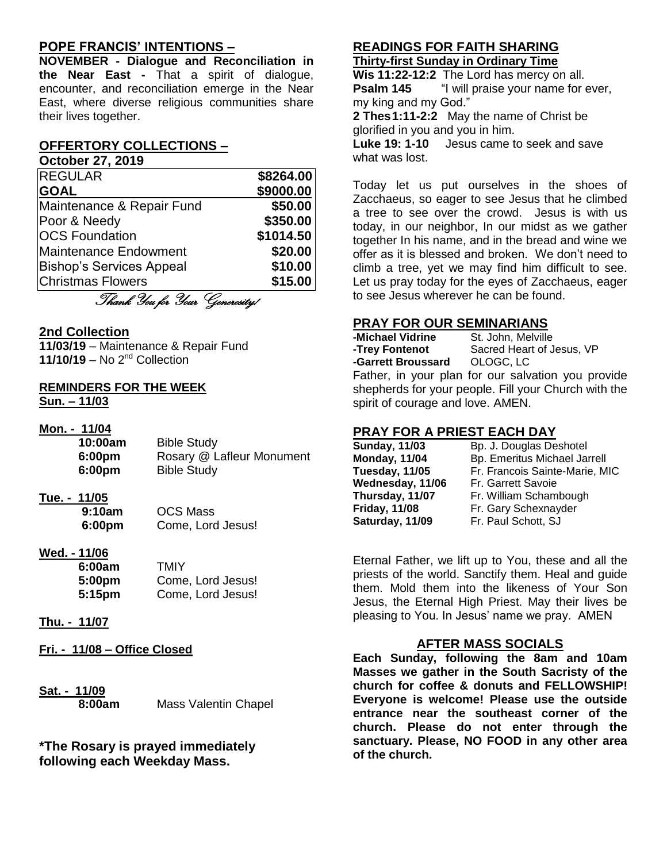#### **POPE FRANCIS' INTENTIONS –**

**NOVEMBER - Dialogue and Reconciliation in the Near East -** That a spirit of dialogue, encounter, and reconciliation emerge in the Near East, where diverse religious communities share their lives together.

#### **OFFERTORY COLLECTIONS –**

**October 27, 2019**

| <b>REGULAR</b>                  | \$8264.00 |
|---------------------------------|-----------|
| <b>GOAL</b>                     | \$9000.00 |
| Maintenance & Repair Fund       | \$50.00   |
| Poor & Needy                    | \$350.00  |
| <b>OCS Foundation</b>           | \$1014.50 |
| <b>Maintenance Endowment</b>    | \$20.00   |
| <b>Bishop's Services Appeal</b> | \$10.00   |
| <b>Christmas Flowers</b>        | \$15.00   |
| Thank You for Your Generosity!  |           |

#### **2nd Collection**

**11/03/19** – Maintenance & Repair Fund **11/10/19** – No 2nd Collection

#### **REMINDERS FOR THE WEEK Sun. – 11/03**

#### **Mon. - 11/04**

| 10:00am | <b>Bible Study</b>        |
|---------|---------------------------|
| 6:00pm  | Rosary @ Lafleur Monument |
| 6:00pm  | <b>Bible Study</b>        |
|         |                           |

#### **Tue. - 11/05**

| 9:10am | <b>OCS Mass</b>   |
|--------|-------------------|
| 6:00pm | Come, Lord Jesus! |

#### **Wed. - 11/06**

| 6:00am             | TMIY              |
|--------------------|-------------------|
| 5:00 <sub>pm</sub> | Come, Lord Jesus! |
| 5:15pm             | Come, Lord Jesus! |

#### **Thu. - 11/07**

**Fri. - 11/08 – Office Closed**

**Sat. - 11/09**

**8:00am** Mass Valentin Chapel

**\*The Rosary is prayed immediately following each Weekday Mass.**

# **READINGS FOR FAITH SHARING**

## **Thirty-first Sunday in Ordinary Time**

**Wis 11:22-12:2** The Lord has mercy on all. **Psalm 145** "I will praise your name for ever, my king and my God."

**2 Thes1:11-2:2** May the name of Christ be glorified in you and you in him.

**Luke 19: 1-10** Jesus came to seek and save what was lost.

Today let us put ourselves in the shoes of Zacchaeus, so eager to see Jesus that he climbed a tree to see over the crowd. Jesus is with us today, in our neighbor, In our midst as we gather together In his name, and in the bread and wine we offer as it is blessed and broken. We don't need to climb a tree, yet we may find him difficult to see. Let us pray today for the eyes of Zacchaeus, eager to see Jesus wherever he can be found.

# **PRAY FOR OUR SEMINARIANS**<br>-Michael Vidrine St. John, Melville

**-Michael Vidrine<br>-Trev Fontenot** Sacred Heart of Jesus, VP<br>OLOGC. LC **-Garrett Broussard** Father, in your plan for our salvation you provide shepherds for your people. Fill your Church with the spirit of courage and love. AMEN.

#### **PRAY FOR A PRIEST EACH DAY**

| Sunday, 11/03        |
|----------------------|
| <b>Monday, 11/04</b> |
| Tuesday, 11/05       |
| Wednesday, 11/06     |
| Thursday, 11/07      |
| <b>Friday, 11/08</b> |
| Saturday, 11/09      |

**Bp. J. Douglas Deshotel Monday, 11/04** Bp. Emeritus Michael Jarrell **Fr. Francois Sainte-Marie, MIC Fr. Garrett Savoie Fr. William Schambough** Fr. Gary Schexnayder Fr. Paul Schott, SJ

Eternal Father, we lift up to You, these and all the priests of the world. Sanctify them. Heal and guide them. Mold them into the likeness of Your Son Jesus, the Eternal High Priest. May their lives be pleasing to You. In Jesus' name we pray. AMEN

#### **AFTER MASS SOCIALS**

**Each Sunday, following the 8am and 10am Masses we gather in the South Sacristy of the church for coffee & donuts and FELLOWSHIP! Everyone is welcome! Please use the outside entrance near the southeast corner of the church. Please do not enter through the sanctuary. Please, NO FOOD in any other area of the church.**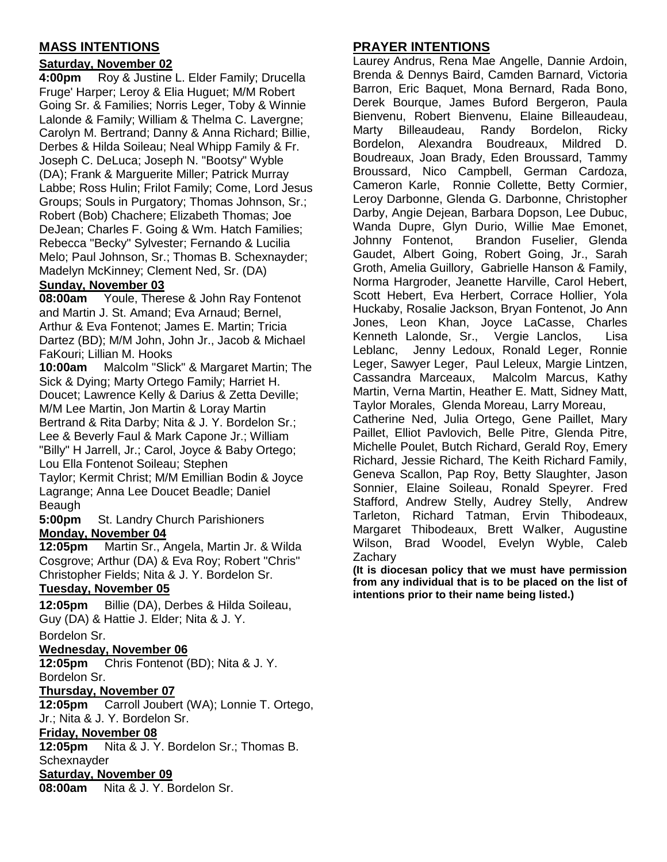### **MASS INTENTIONS**

#### **Saturday, November 02**

**4:00pm** Roy & Justine L. Elder Family; Drucella Fruge' Harper; Leroy & Elia Huguet; M/M Robert Going Sr. & Families; Norris Leger, Toby & Winnie Lalonde & Family; William & Thelma C. Lavergne; Carolyn M. Bertrand; Danny & Anna Richard; Billie, Derbes & Hilda Soileau; Neal Whipp Family & Fr. Joseph C. DeLuca; Joseph N. "Bootsy" Wyble (DA); Frank & Marguerite Miller; Patrick Murray Labbe; Ross Hulin; Frilot Family; Come, Lord Jesus Groups; Souls in Purgatory; Thomas Johnson, Sr.; Robert (Bob) Chachere; Elizabeth Thomas; Joe DeJean; Charles F. Going & Wm. Hatch Families; Rebecca "Becky" Sylvester; Fernando & Lucilia Melo; Paul Johnson, Sr.; Thomas B. Schexnayder; Madelyn McKinney; Clement Ned, Sr. (DA)

#### **Sunday, November 03**

**08:00am** Youle, Therese & John Ray Fontenot and Martin J. St. Amand; Eva Arnaud; Bernel, Arthur & Eva Fontenot; James E. Martin; Tricia Dartez (BD); M/M John, John Jr., Jacob & Michael FaKouri; Lillian M. Hooks

**10:00am** Malcolm "Slick" & Margaret Martin; The Sick & Dying; Marty Ortego Family; Harriet H. Doucet; Lawrence Kelly & Darius & Zetta Deville; M/M Lee Martin, Jon Martin & Loray Martin Bertrand & Rita Darby; Nita & J. Y. Bordelon Sr.; Lee & Beverly Faul & Mark Capone Jr.; William "Billy" H Jarrell, Jr.; Carol, Joyce & Baby Ortego; Lou Ella Fontenot Soileau; Stephen

Taylor; Kermit Christ; M/M Emillian Bodin & Joyce Lagrange; Anna Lee Doucet Beadle; Daniel Beaugh

**5:00pm** St. Landry Church Parishioners **Monday, November 04**

**12:05pm** Martin Sr., Angela, Martin Jr. & Wilda Cosgrove; Arthur (DA) & Eva Roy; Robert "Chris" Christopher Fields; Nita & J. Y. Bordelon Sr.

### **Tuesday, November 05**

**12:05pm** Billie (DA), Derbes & Hilda Soileau, Guy (DA) & Hattie J. Elder; Nita & J. Y.

#### Bordelon Sr.

#### **Wednesday, November 06**

**12:05pm** Chris Fontenot (BD); Nita & J. Y. Bordelon Sr.

#### **Thursday, November 07**

**12:05pm** Carroll Joubert (WA); Lonnie T. Ortego, Jr.; Nita & J. Y. Bordelon Sr.

#### **Friday, November 08**

**12:05pm** Nita & J. Y. Bordelon Sr.; Thomas B. **Schexnayder** 

#### **Saturday, November 09**

**08:00am** Nita & J. Y. Bordelon Sr.

### **PRAYER INTENTIONS**

Laurey Andrus, Rena Mae Angelle, Dannie Ardoin, Brenda & Dennys Baird, Camden Barnard, Victoria Barron, Eric Baquet, Mona Bernard, Rada Bono, Derek Bourque, James Buford Bergeron, Paula Bienvenu, Robert Bienvenu, Elaine Billeaudeau, Marty Billeaudeau, Randy Bordelon, Ricky Bordelon, Alexandra Boudreaux, Mildred D. Boudreaux, Joan Brady, Eden Broussard, Tammy Broussard, Nico Campbell, German Cardoza, Cameron Karle, Ronnie Collette, Betty Cormier, Leroy Darbonne, Glenda G. Darbonne, Christopher Darby, Angie Dejean, Barbara Dopson, Lee Dubuc, Wanda Dupre, Glyn Durio, Willie Mae Emonet, Johnny Fontenot, Brandon Fuselier, Glenda Gaudet, Albert Going, Robert Going, Jr., Sarah Groth, Amelia Guillory, Gabrielle Hanson & Family, Norma Hargroder, Jeanette Harville, Carol Hebert, Scott Hebert, Eva Herbert, Corrace Hollier, Yola Huckaby, Rosalie Jackson, Bryan Fontenot, Jo Ann Jones, Leon Khan, Joyce LaCasse, Charles Kenneth Lalonde, Sr., Vergie Lanclos, Lisa Leblanc, Jenny Ledoux, Ronald Leger, Ronnie Leger, Sawyer Leger, Paul Leleux, Margie Lintzen, Cassandra Marceaux, Malcolm Marcus, Kathy Martin, Verna Martin, Heather E. Matt, Sidney Matt, Taylor Morales, Glenda Moreau, Larry Moreau, Catherine Ned, Julia Ortego, Gene Paillet, Mary Paillet, Elliot Pavlovich, Belle Pitre, Glenda Pitre, Michelle Poulet, Butch Richard, Gerald Roy, Emery Richard, Jessie Richard, The Keith Richard Family, Geneva Scallon, Pap Roy, Betty Slaughter, Jason Sonnier, Elaine Soileau, Ronald Speyrer. Fred Stafford, Andrew Stelly, Audrey Stelly, Andrew Tarleton, Richard Tatman, Ervin Thibodeaux, Margaret Thibodeaux, Brett Walker, Augustine Wilson, Brad Woodel, Evelyn Wyble, Caleb **Zachary** 

**(It is diocesan policy that we must have permission from any individual that is to be placed on the list of intentions prior to their name being listed.)**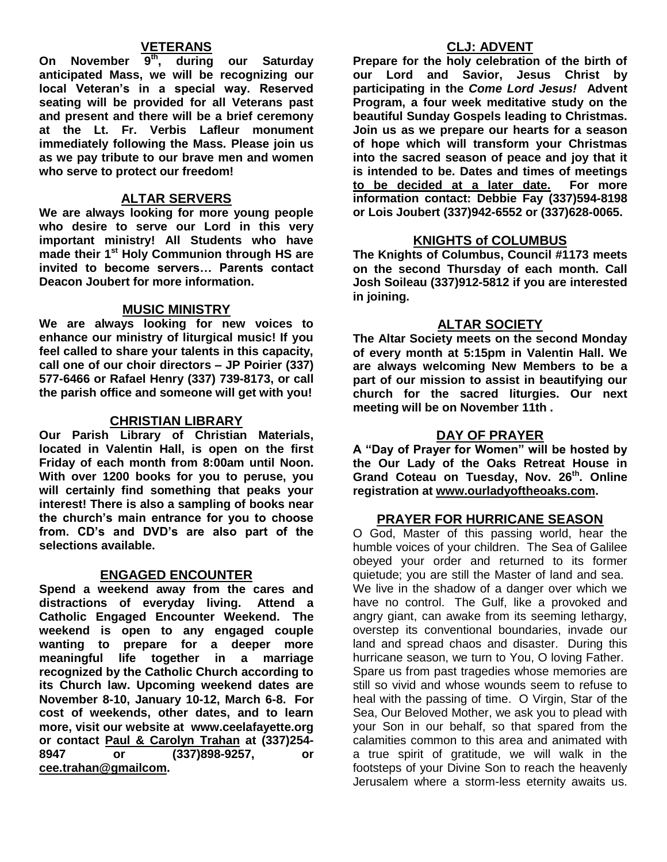### **VETERANS**

**On November 9th, during our Saturday anticipated Mass, we will be recognizing our local Veteran's in a special way. Reserved seating will be provided for all Veterans past and present and there will be a brief ceremony at the Lt. Fr. Verbis Lafleur monument immediately following the Mass. Please join us as we pay tribute to our brave men and women who serve to protect our freedom!**

#### **ALTAR SERVERS**

**We are always looking for more young people who desire to serve our Lord in this very important ministry! All Students who have made their 1st Holy Communion through HS are invited to become servers… Parents contact Deacon Joubert for more information.**

#### **MUSIC MINISTRY**

**We are always looking for new voices to enhance our ministry of liturgical music! If you feel called to share your talents in this capacity, call one of our choir directors – JP Poirier (337) 577-6466 or Rafael Henry (337) 739-8173, or call the parish office and someone will get with you!**

#### **CHRISTIAN LIBRARY**

**Our Parish Library of Christian Materials, located in Valentin Hall, is open on the first Friday of each month from 8:00am until Noon. With over 1200 books for you to peruse, you will certainly find something that peaks your interest! There is also a sampling of books near the church's main entrance for you to choose from. CD's and DVD's are also part of the selections available.** 

#### **ENGAGED ENCOUNTER**

**Spend a weekend away from the cares and distractions of everyday living. Attend a Catholic Engaged Encounter Weekend. The weekend is open to any engaged couple wanting to prepare for a deeper more meaningful life together in a marriage recognized by the Catholic Church according to its Church law. Upcoming weekend dates are November 8-10, January 10-12, March 6-8. For cost of weekends, other dates, and to learn more, visit our website at www.ceelafayette.org or contact Paul & Carolyn Trahan at (337)254- 8947 or (337)898-9257, or [cee.trahan@gmailcom.](mailto:cee.trahan@gmailcom)**

#### **CLJ: ADVENT**

**Prepare for the holy celebration of the birth of our Lord and Savior, Jesus Christ by participating in the** *Come Lord Jesus!* **Advent Program, a four week meditative study on the beautiful Sunday Gospels leading to Christmas. Join us as we prepare our hearts for a season of hope which will transform your Christmas into the sacred season of peace and joy that it is intended to be. Dates and times of meetings to be decided at a later date. For more information contact: Debbie Fay (337)594-8198 or Lois Joubert (337)942-6552 or (337)628-0065.**

#### **KNIGHTS of COLUMBUS**

**The Knights of Columbus, Council #1173 meets on the second Thursday of each month. Call Josh Soileau (337)912-5812 if you are interested in joining.** 

#### **ALTAR SOCIETY**

**The Altar Society meets on the second Monday of every month at 5:15pm in Valentin Hall. We are always welcoming New Members to be a part of our mission to assist in beautifying our church for the sacred liturgies. Our next meeting will be on November 11th .** 

#### **DAY OF PRAYER**

**A "Day of Prayer for Women" will be hosted by the Our Lady of the Oaks Retreat House in Grand Coteau on Tuesday, Nov. 26th. Online registration at [www.ourladyoftheoaks.com.](http://www.ourladyoftheoaks.com/)**

#### **PRAYER FOR HURRICANE SEASON**

O God, Master of this passing world, hear the humble voices of your children. The Sea of Galilee obeyed your order and returned to its former quietude; you are still the Master of land and sea. We live in the shadow of a danger over which we have no control. The Gulf, like a provoked and angry giant, can awake from its seeming lethargy, overstep its conventional boundaries, invade our land and spread chaos and disaster. During this hurricane season, we turn to You, O loving Father. Spare us from past tragedies whose memories are still so vivid and whose wounds seem to refuse to heal with the passing of time. O Virgin, Star of the Sea, Our Beloved Mother, we ask you to plead with your Son in our behalf, so that spared from the calamities common to this area and animated with a true spirit of gratitude, we will walk in the footsteps of your Divine Son to reach the heavenly Jerusalem where a storm-less eternity awaits us.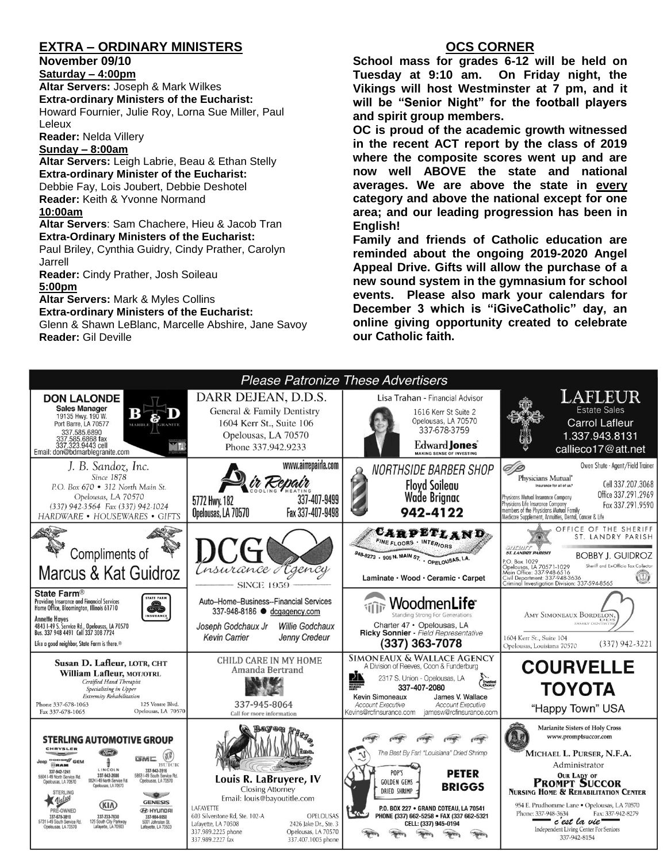### **EXTRA – ORDINARY MINISTERS**

**November 09/10**

**Saturday – 4:00pm** 

**Altar Servers:** Joseph & Mark Wilkes **Extra-ordinary Ministers of the Eucharist:**  Howard Fournier, Julie Roy, Lorna Sue Miller, Paul Leleux

**Reader:** Nelda Villery

#### **Sunday – 8:00am**

**Altar Servers:** Leigh Labrie, Beau & Ethan Stelly **Extra-ordinary Minister of the Eucharist:** Debbie Fay, Lois Joubert, Debbie Deshotel **Reader:** Keith & Yvonne Normand **10:00am**

**Altar Servers**: Sam Chachere, Hieu & Jacob Tran **Extra-Ordinary Ministers of the Eucharist:**

Paul Briley, Cynthia Guidry, Cindy Prather, Carolyn Jarrell

**Reader:** Cindy Prather, Josh Soileau **5:00pm** 

**Altar Servers:** Mark & Myles Collins

**Extra-ordinary Ministers of the Eucharist:** Glenn & Shawn LeBlanc, Marcelle Abshire, Jane Savoy

**Reader:** Gil Deville

### **OCS CORNER**

**School mass for grades 6-12 will be held on Tuesday at 9:10 am. On Friday night, the Vikings will host Westminster at 7 pm, and it will be "Senior Night" for the football players and spirit group members.** 

**OC is proud of the academic growth witnessed in the recent ACT report by the class of 2019 where the composite scores went up and are now well ABOVE the state and national averages. We are above the state in every category and above the national except for one area; and our leading progression has been in English!**

**Family and friends of Catholic education are reminded about the ongoing 2019-2020 Angel Appeal Drive. Gifts will allow the purchase of a new sound system in the gymnasium for school events. Please also mark your calendars for December 3 which is "iGiveCatholic" day, an online giving opportunity created to celebrate our Catholic faith.**